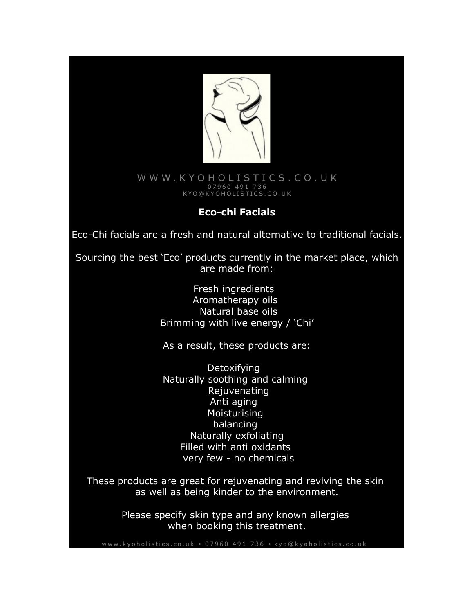

### WWW.KYOHOLISTICS.CO.UK 0 7 9 6 0 4 9 1 7 3 6 [K Y O @ K Y O H O L I S T I C S . C O . U K](mailto:kyo@kyoholistics.co.uk)

## **Eco-chi Facials**

Eco-Chi facials are a fresh and natural alternative to traditional facials.

Sourcing the best 'Eco' products currently in the market place, which are made from:

> Fresh ingredients Aromatherapy oils Natural base oils Brimming with live energy / 'Chi'

As a result, these products are:

Detoxifying Naturally soothing and calming Rejuvenating Anti aging Moisturising balancing Naturally exfoliating Filled with anti oxidants very few - no chemicals

These products are great for rejuvenating and reviving the skin as well as being kinder to the environment.

> Please specify skin type and any known allergies when booking this treatment.

www.kvoholistics.co.uk • 07960 491 736 • kvo@kvoholistics.co